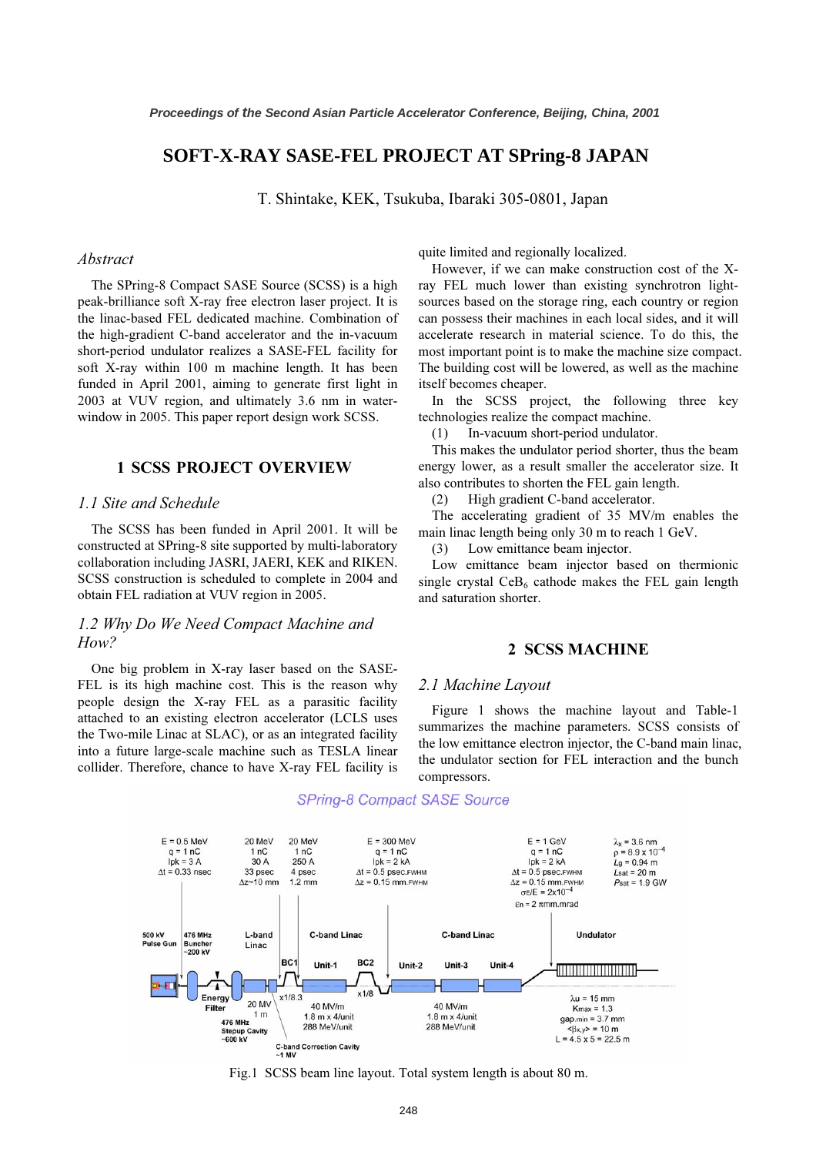# **SOFT-X-RAY SASE-FEL PROJECT AT SPring-8 JAPAN**

T. Shintake, KEK, Tsukuba, Ibaraki 305-0801, Japan

#### Abstract

The SPring-8 Compact SASE Source (SCSS) is a high peak-brilliance soft X-ray free electron laser project. It is the linac-based FEL dedicated machine. Combination of the high-gradient C-band accelerator and the in-vacuum short-period undulator realizes a SASE-FEL facility for soft X-ray within 100 m machine length. It has been funded in April 2001, aiming to generate first light in 2003 at VUV region, and ultimately 3.6 nm in waterwindow in 2005. This paper report design work SCSS.

## 1 SCSS PROJECT OVERVIEW

#### 1.1 Site and Schedule

The SCSS has been funded in April 2001. It will be constructed at SPring-8 site supported by multi-laboratory collaboration including JASRI, JAERI, KEK and RIKEN. SCSS construction is scheduled to complete in 2004 and obtain FEL radiation at VUV region in 2005.

## 1.2 Why Do We Need Compact Machine and How?

One big problem in X-ray laser based on the SASE-FEL is its high machine cost. This is the reason why people design the X-ray FEL as a parasitic facility attached to an existing electron accelerator (LCLS uses the Two-mile Linac at SLAC), or as an integrated facility into a future large-scale machine such as TESLA linear collider. Therefore, chance to have X-ray FEL facility is quite limited and regionally localized.

However, if we can make construction cost of the Xray FEL much lower than existing synchrotron lightsources based on the storage ring, each country or region can possess their machines in each local sides, and it will accelerate research in material science. To do this, the most important point is to make the machine size compact. The building cost will be lowered, as well as the machine itself becomes cheaper.

In the SCSS project, the following three key technologies realize the compact machine.

(1) In-vacuum short-period undulator.

This makes the undulator period shorter, thus the beam energy lower, as a result smaller the accelerator size. It also contributes to shorten the FEL gain length.

(2) High gradient C-band accelerator.

The accelerating gradient of 35 MV/m enables the main linac length being only 30 m to reach 1 GeV.

(3) Low emittance beam injector.

Low emittance beam injector based on thermionic single crystal  $CeB<sub>6</sub>$  cathode makes the FEL gain length and saturation shorter.

### 2 SCSS MACHINE

#### 2.1 Machine Layout

Figure 1 shows the machine layout and Table-1 summarizes the machine parameters. SCSS consists of the low emittance electron injector, the C-band main linac, the undulator section for FEL interaction and the bunch compressors.



#### **SPring-8 Compact SASE Source**

Fig.1 SCSS beam line layout. Total system length is about 80 m.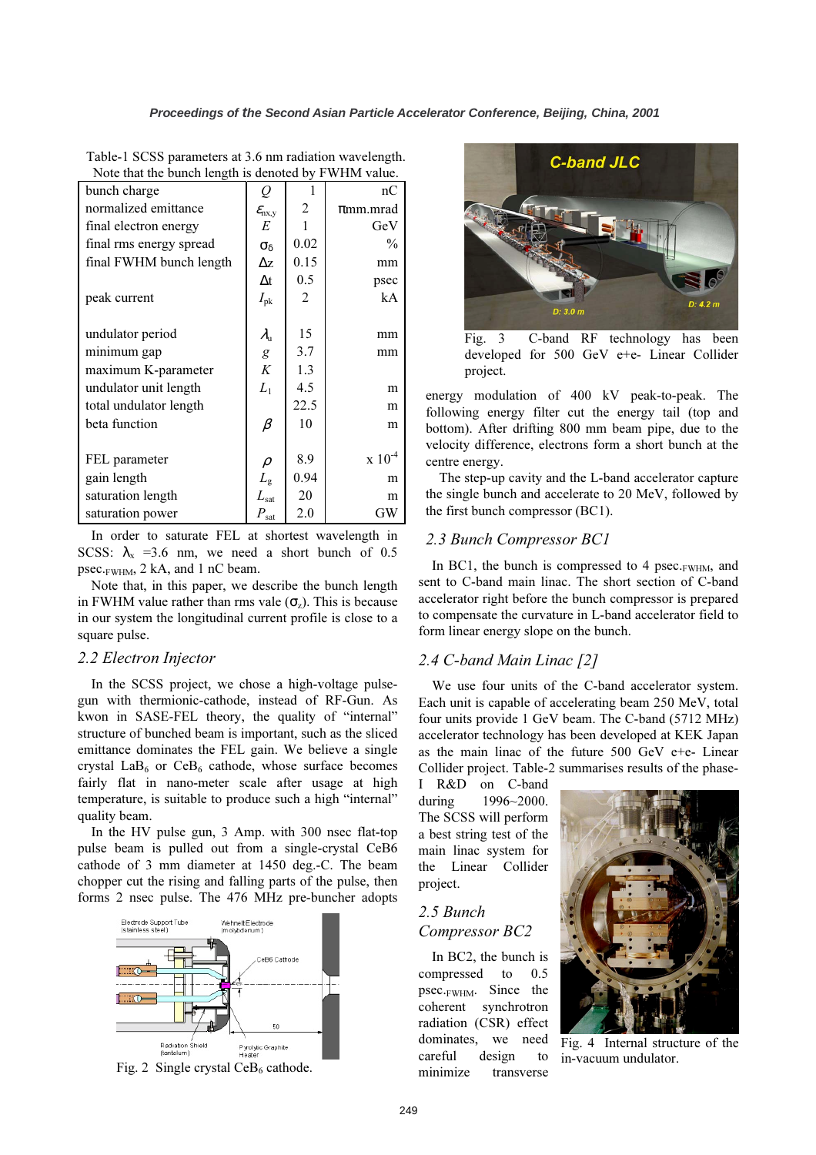| bunch charge            | Q                         |      | nC            |
|-------------------------|---------------------------|------|---------------|
| normalized emittance    | $\mathcal{E}_{\rm{nx,y}}$ | 2    | $\pi$ mm.mrad |
| final electron energy   | E                         |      | GeV           |
| final rms energy spread | $\sigma_{\delta}$         | 0.02 | $\frac{0}{0}$ |
| final FWHM bunch length | Δz                        | 0.15 | mm            |
|                         | $\Delta t$                | 0.5  | psec          |
| peak current            | $I_{\rm pk}$              | 2    | kA            |
|                         |                           |      |               |
| undulator period        | $\lambda_\mathrm{u}$      | 15   | mm            |
| minimum gap             | $\boldsymbol{g}$          | 3.7  | mm            |
| maximum K-parameter     | K                         | 1.3  |               |
| undulator unit length   | $L_{1}$                   | 4.5  | m             |
| total undulator length  |                           | 22.5 | m             |
| beta function           | $\beta$                   | 10   | m             |
|                         |                           |      |               |
| FEL parameter           | $\rho$                    | 8.9  | $x 10^{-4}$   |
| gain length             | $L_{\rm g}$               | 0.94 | m             |
| saturation length       | $L_{\mathrm{sat}}$        | 20   | m             |
| saturation power        | $P_{\rm sat}$             | 2.0  | GW            |

Table-1 SCSS parameters at 3.6 nm radiation wavelength. Note that the bunch length is denoted by FWHM value.

In order to saturate FEL at shortest wavelength in SCSS:  $\lambda_x$  =3.6 nm, we need a short bunch of 0.5 psec.FWHM, 2 kA, and 1 nC beam.

Note that, in this paper, we describe the bunch length in FWHM value rather than rms vale  $(\sigma_z)$ . This is because in our system the longitudinal current profile is close to a square pulse.

### 2.2 Electron Injector

In the SCSS project, we chose a high-voltage pulsegun with thermionic-cathode, instead of RF-Gun. As kwon in SASE-FEL theory, the quality of "internal" structure of bunched beam is important, such as the sliced emittance dominates the FEL gain. We believe a single crystal LaB<sub>6</sub> or CeB<sub>6</sub> cathode, whose surface becomes fairly flat in nano-meter scale after usage at high temperature, is suitable to produce such a high "internal" quality beam.

In the HV pulse gun, 3 Amp. with 300 nsec flat-top pulse beam is pulled out from a single-crystal CeB6 cathode of 3 mm diameter at 1450 deg.-C. The beam chopper cut the rising and falling parts of the pulse, then forms 2 nsec pulse. The 476 MHz pre-buncher adopts



Fig. 2 Single crystal  $CeB<sub>6</sub>$  cathode.



Fig. 3 C-band RF technology has been developed for 500 GeV e+e- Linear Collider project.

energy modulation of 400 kV peak-to-peak. The following energy filter cut the energy tail (top and bottom). After drifting 800 mm beam pipe, due to the velocity difference, electrons form a short bunch at the centre energy.

The step-up cavity and the L-band accelerator capture the single bunch and accelerate to 20 MeV, followed by the first bunch compressor (BC1).

### 2.3 Bunch Compressor BC1

In BC1, the bunch is compressed to 4 psec. $FWHM$ , and sent to C-band main linac. The short section of C-band accelerator right before the bunch compressor is prepared to compensate the curvature in L-band accelerator field to form linear energy slope on the bunch.

## 2.4 C-band Main Linac [2]

We use four units of the C-band accelerator system. Each unit is capable of accelerating beam 250 MeV, total four units provide 1 GeV beam. The C-band (5712 MHz) accelerator technology has been developed at KEK Japan as the main linac of the future 500 GeV e+e- Linear Collider project. Table-2 summarises results of the phase-

I R&D on C-band during 1996~2000. The SCSS will perform a best string test of the main linac system for the Linear Collider project.

# 2.5 Bunch Compressor BC2

In BC2, the bunch is compressed to 0.5 psec.FWHM. Since the coherent synchrotron radiation (CSR) effect dominates, we need careful design to minimize transverse



Fig. 4 Internal structure of the in-vacuum undulator.